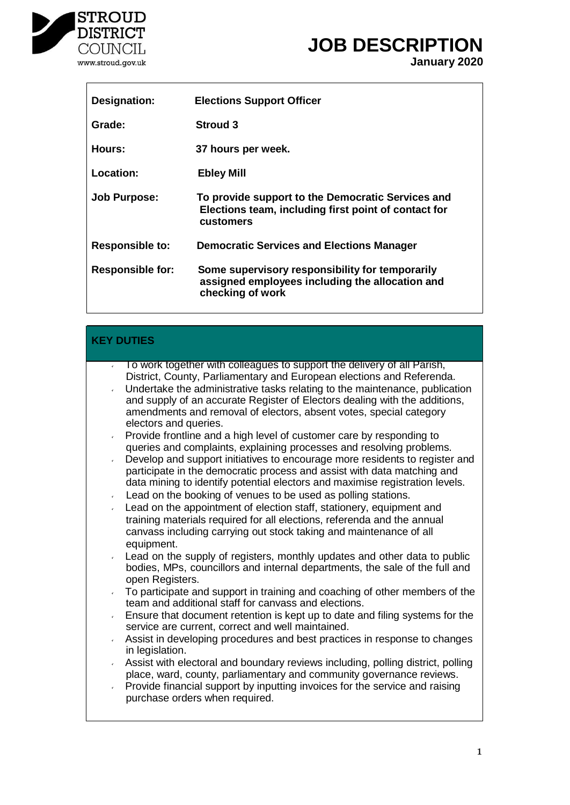

 $\mathsf{l}$ 

# **JOB DESCRIPTION**

**January 2020**

| <b>Designation:</b>     | <b>Elections Support Officer</b>                                                                                       |
|-------------------------|------------------------------------------------------------------------------------------------------------------------|
| Grade:                  | <b>Stroud 3</b>                                                                                                        |
| Hours:                  | 37 hours per week.                                                                                                     |
| Location:               | <b>Ebley Mill</b>                                                                                                      |
| <b>Job Purpose:</b>     | To provide support to the Democratic Services and<br>Elections team, including first point of contact for<br>customers |
| <b>Responsible to:</b>  | <b>Democratic Services and Elections Manager</b>                                                                       |
| <b>Responsible for:</b> | Some supervisory responsibility for temporarily<br>assigned employees including the allocation and<br>checking of work |

| <b>KEY DUTIES</b>                                                                                                                                                                                                                                                                                                                                                                                                                                                                                                                                                                                                                                                                                                                                                                                                                                                                                                                                                                                                                                                            |
|------------------------------------------------------------------------------------------------------------------------------------------------------------------------------------------------------------------------------------------------------------------------------------------------------------------------------------------------------------------------------------------------------------------------------------------------------------------------------------------------------------------------------------------------------------------------------------------------------------------------------------------------------------------------------------------------------------------------------------------------------------------------------------------------------------------------------------------------------------------------------------------------------------------------------------------------------------------------------------------------------------------------------------------------------------------------------|
| $\overline{1}$ To work together with colleagues to support the delivery of all Parish,<br>District, County, Parliamentary and European elections and Referenda.<br>Undertake the administrative tasks relating to the maintenance, publication<br>and supply of an accurate Register of Electors dealing with the additions,<br>amendments and removal of electors, absent votes, special category<br>electors and queries.<br>Provide frontline and a high level of customer care by responding to<br>v.<br>queries and complaints, explaining processes and resolving problems.<br>Develop and support initiatives to encourage more residents to register and<br>v.<br>participate in the democratic process and assist with data matching and<br>data mining to identify potential electors and maximise registration levels.<br>Lead on the booking of venues to be used as polling stations.<br>$\mathcal{C}^{\pm}$<br>Lead on the appointment of election staff, stationery, equipment and<br>training materials required for all elections, referenda and the annual |
| canvass including carrying out stock taking and maintenance of all<br>equipment.<br>Lead on the supply of registers, monthly updates and other data to public<br>bodies, MPs, councillors and internal departments, the sale of the full and<br>open Registers.<br>To participate and support in training and coaching of other members of the<br>$\mathbf{v}$<br>team and additional staff for canvass and elections.<br>Ensure that document retention is kept up to date and filing systems for the<br>$\mathbf{v}$<br>service are current, correct and well maintained.<br>Assist in developing procedures and best practices in response to changes<br>$\mathcal{C}^{\pm}$<br>in legislation.<br>Assist with electoral and boundary reviews including, polling district, polling<br>place, ward, county, parliamentary and community governance reviews.<br>Provide financial support by inputting invoices for the service and raising<br>$\mathbf{v}$<br>purchase orders when required.                                                                               |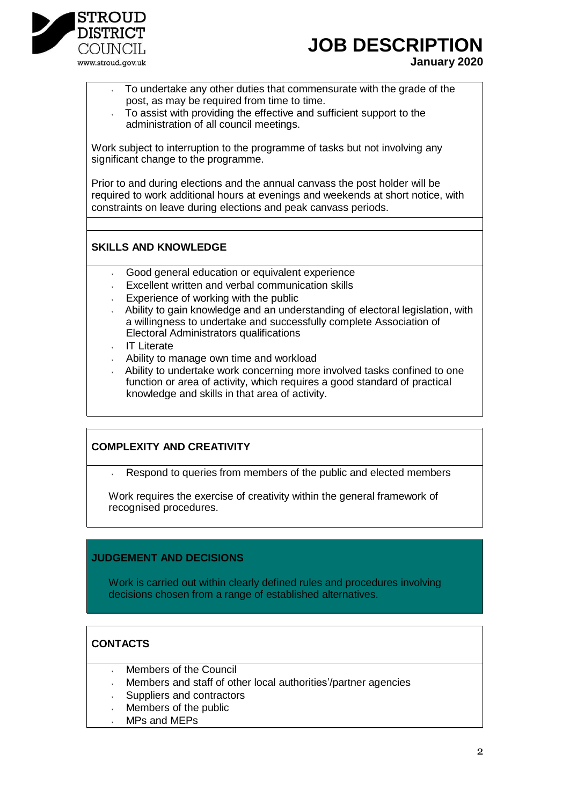

# **JOB DESCRIPTION**

**January 2020**

- To undertake any other duties that commensurate with the grade of the post, as may be required from time to time.
- To assist with providing the effective and sufficient support to the administration of all council meetings.

Work subject to interruption to the programme of tasks but not involving any significant change to the programme.

Prior to and during elections and the annual canvass the post holder will be required to work additional hours at evenings and weekends at short notice, with constraints on leave during elections and peak canvass periods.

### **SKILLS AND KNOWLEDGE**

- Good general education or equivalent experience
- **Excellent written and verbal communication skills**
- **Experience of working with the public**
- Ability to gain knowledge and an understanding of electoral legislation, with a willingness to undertake and successfully complete Association of Electoral Administrators qualifications
- ↓ IT Literate
- Ability to manage own time and workload
- Ability to undertake work concerning more involved tasks confined to one function or area of activity, which requires a good standard of practical knowledge and skills in that area of activity.

#### **COMPLEXITY AND CREATIVITY**

Respond to queries from members of the public and elected members

Work requires the exercise of creativity within the general framework of recognised procedures.

#### **JUDGEMENT AND DECISIONS**

Work is carried out within clearly defined rules and procedures involving decisions chosen from a range of established alternatives.

## **CONTACTS**

- Members of the Council
- Members and staff of other local authorities'/partner agencies
- Suppliers and contractors
- Members of the public
- MPs and MEPs